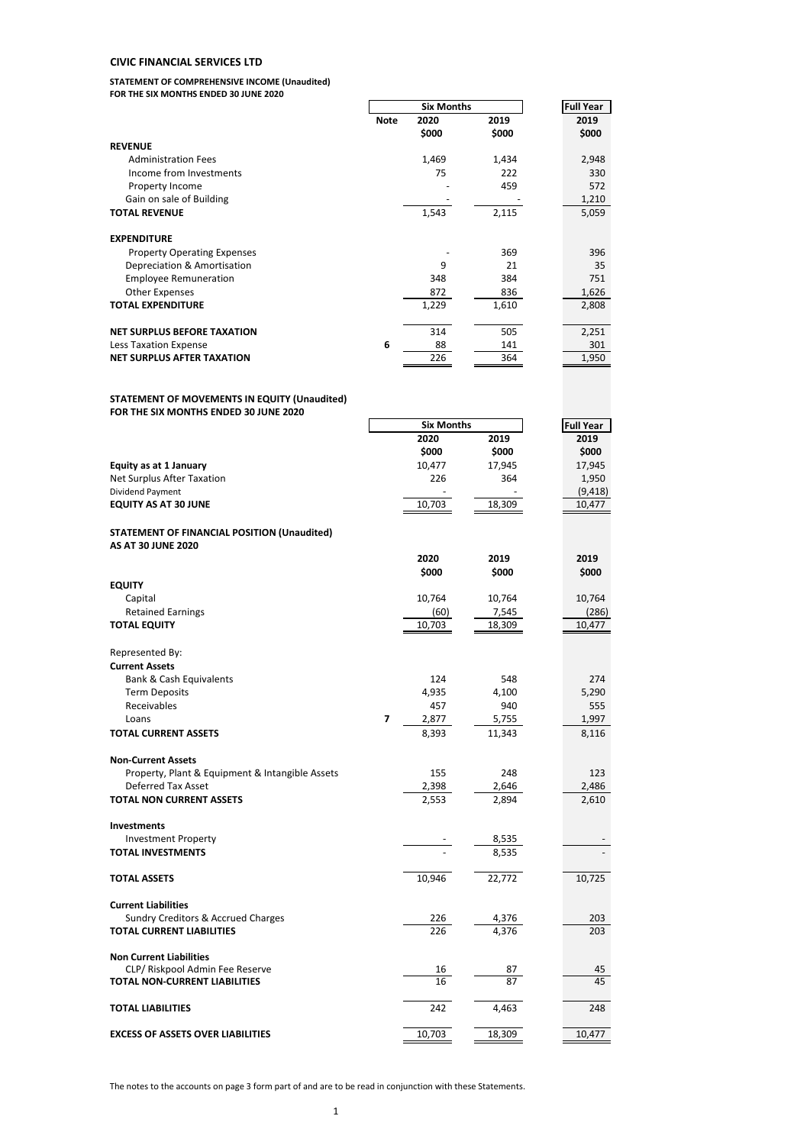#### **CIVIC FINANCIAL SERVICES LTD**

#### **STATEMENT OF COMPREHENSIVE INCOME (Unaudited) FOR THE SIX MONTHS ENDED 30 JUNE 2020**

|                                                                                       |             | <b>Six Months</b> | <b>Full Year</b>      |                  |
|---------------------------------------------------------------------------------------|-------------|-------------------|-----------------------|------------------|
|                                                                                       | <b>Note</b> | 2020              | 2019                  | 2019             |
|                                                                                       |             | \$000             | \$000                 | \$000            |
| <b>REVENUE</b>                                                                        |             |                   |                       |                  |
| <b>Administration Fees</b><br>Income from Investments                                 |             | 1,469<br>75       | 1,434<br>222          | 2,948<br>330     |
| Property Income                                                                       |             |                   | 459                   | 572              |
| Gain on sale of Building                                                              |             |                   |                       | 1,210            |
| <b>TOTAL REVENUE</b>                                                                  |             | 1,543             | 2,115                 | 5,059            |
| <b>EXPENDITURE</b>                                                                    |             |                   |                       |                  |
| <b>Property Operating Expenses</b>                                                    |             |                   | 369                   | 396              |
| Depreciation & Amortisation                                                           |             | 9                 | 21                    | 35               |
| <b>Employee Remuneration</b>                                                          |             | 348               | 384                   | 751              |
| <b>Other Expenses</b><br><b>TOTAL EXPENDITURE</b>                                     |             | 872<br>1,229      | 836<br>1,610          | 1,626<br>2,808   |
| <b>NET SURPLUS BEFORE TAXATION</b>                                                    |             | 314               | 505                   | 2,251            |
| Less Taxation Expense                                                                 | 6           | 88                | 141                   | 301              |
| <b>NET SURPLUS AFTER TAXATION</b>                                                     |             | 226               | 364                   | 1,950            |
| STATEMENT OF MOVEMENTS IN EQUITY (Unaudited)<br>FOR THE SIX MONTHS ENDED 30 JUNE 2020 |             |                   |                       |                  |
|                                                                                       |             | <b>Six Months</b> |                       | <b>Full Year</b> |
|                                                                                       |             | 2020              | 2019                  | 2019             |
|                                                                                       |             | \$000             | \$000                 | \$000            |
| <b>Equity as at 1 January</b><br>Net Surplus After Taxation                           |             | 10,477<br>226     | 17,945<br>364         | 17,945<br>1,950  |
| Dividend Payment                                                                      |             |                   |                       | (9, 418)         |
| <b>EQUITY AS AT 30 JUNE</b>                                                           |             | 10,703            | 18,309                | 10,477           |
| STATEMENT OF FINANCIAL POSITION (Unaudited)<br><b>AS AT 30 JUNE 2020</b>              |             |                   |                       |                  |
|                                                                                       |             | 2020              | 2019                  | 2019             |
|                                                                                       |             | \$000             | \$000                 | \$000            |
| <b>EQUITY</b>                                                                         |             |                   |                       |                  |
| Capital                                                                               |             | 10,764            | 10,764                | 10,764           |
| <b>Retained Earnings</b>                                                              |             | (60)              | 7,545                 | (286)            |
| <b>TOTAL EQUITY</b>                                                                   |             | 10,703            | 18,309                | 10,477           |
| Represented By:                                                                       |             |                   |                       |                  |
| <b>Current Assets</b>                                                                 |             |                   |                       |                  |
| Bank & Cash Equivalents                                                               |             | 124               | 548                   | 274              |
| <b>Term Deposits</b>                                                                  |             | 4,935             | 4,100                 | 5.290            |
| Receivables                                                                           |             | 457               | 940                   | 555              |
| Loans                                                                                 | 7           | 2,877             | 5,755                 | 1,997            |
| <b>TOTAL CURRENT ASSETS</b>                                                           |             | 8,393             | 11,343                | 8,116            |
| <b>Non-Current Assets</b>                                                             |             |                   |                       |                  |
| Property, Plant & Equipment & Intangible Assets                                       |             | 155               | 248                   | 123              |
| Deferred Tax Asset                                                                    |             | 2,398             | 2,646                 | 2,486            |
| <b>TOTAL NON CURRENT ASSETS</b>                                                       |             | 2,553             | 2,894                 | 2,610            |
| Investments                                                                           |             |                   |                       |                  |
| <b>Investment Property</b>                                                            |             |                   | 8,535                 |                  |
| <b>TOTAL INVESTMENTS</b>                                                              |             |                   | 8,535                 |                  |
| <b>TOTAL ASSETS</b>                                                                   |             | 10,946            | 22,772                | 10,725           |
| <b>Current Liabilities</b>                                                            |             |                   |                       |                  |
| Sundry Creditors & Accrued Charges                                                    |             | 226               | $\frac{4,376}{4,376}$ | 203              |
| <b>TOTAL CURRENT LIABILITIES</b>                                                      |             | 226               |                       | 203              |
| <b>Non Current Liabilities</b>                                                        |             |                   |                       |                  |
| CLP/ Riskpool Admin Fee Reserve                                                       |             | 16                | 87                    | 45               |
| TOTAL NON-CURRENT LIABILITIES                                                         |             | 16                |                       | 45               |
| <b>TOTAL LIABILITIES</b>                                                              |             | 242               | 4,463                 | 248              |
|                                                                                       |             |                   |                       |                  |
| <b>EXCESS OF ASSETS OVER LIABILITIES</b>                                              |             | 10,703            | 18,309                | 10,477           |

The notes to the accounts on page 3 form part of and are to be read in conjunction with these Statements.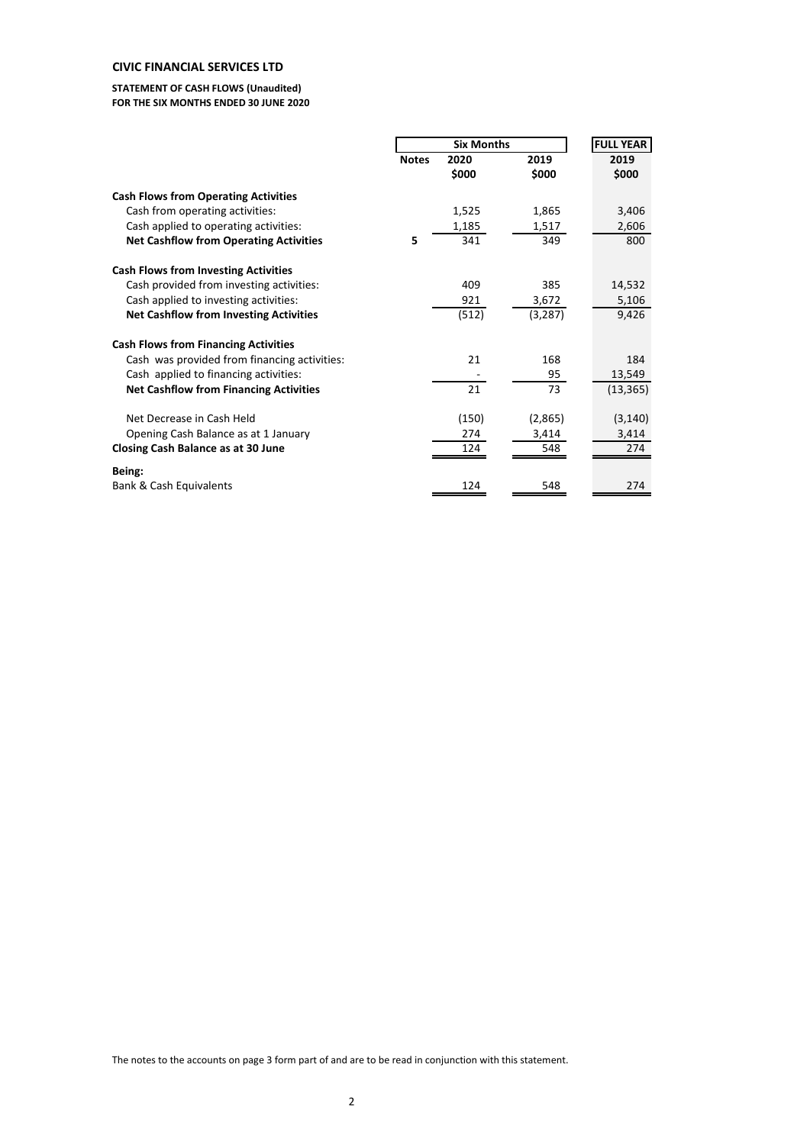# **CIVIC FINANCIAL SERVICES LTD**

#### **STATEMENT OF CASH FLOWS (Unaudited) FOR THE SIX MONTHS ENDED 30 JUNE 2020**

|                                               |              | <b>Six Months</b> |          | <b>FULL YEAR</b> |  |  |
|-----------------------------------------------|--------------|-------------------|----------|------------------|--|--|
|                                               | <b>Notes</b> | 2020              | 2019     | 2019             |  |  |
|                                               |              | \$000             | \$000    | \$000            |  |  |
| <b>Cash Flows from Operating Activities</b>   |              |                   |          |                  |  |  |
| Cash from operating activities:               |              | 1,525             | 1,865    | 3,406            |  |  |
| Cash applied to operating activities:         |              | 1,185             | 1,517    | 2,606            |  |  |
| <b>Net Cashflow from Operating Activities</b> | 5            | 341               | 349      | 800              |  |  |
| <b>Cash Flows from Investing Activities</b>   |              |                   |          |                  |  |  |
| Cash provided from investing activities:      |              | 409               | 385      | 14,532           |  |  |
| Cash applied to investing activities:         |              | 921               | 3,672    | 5,106            |  |  |
| <b>Net Cashflow from Investing Activities</b> |              | (512)             | (3, 287) | 9,426            |  |  |
| <b>Cash Flows from Financing Activities</b>   |              |                   |          |                  |  |  |
| Cash was provided from financing activities:  |              | 21                | 168      | 184              |  |  |
| Cash applied to financing activities:         |              |                   | 95       | 13,549           |  |  |
| <b>Net Cashflow from Financing Activities</b> |              | 21                | 73       | (13, 365)        |  |  |
| Net Decrease in Cash Held                     |              | (150)             | (2,865)  | (3, 140)         |  |  |
| Opening Cash Balance as at 1 January          |              | 274               | 3,414    | 3,414            |  |  |
| Closing Cash Balance as at 30 June            |              | 124               | 548      | 274              |  |  |
| Being:                                        |              |                   |          |                  |  |  |
| <b>Bank &amp; Cash Equivalents</b>            |              | 124               | 548      | 274              |  |  |

The notes to the accounts on page 3 form part of and are to be read in conjunction with this statement.